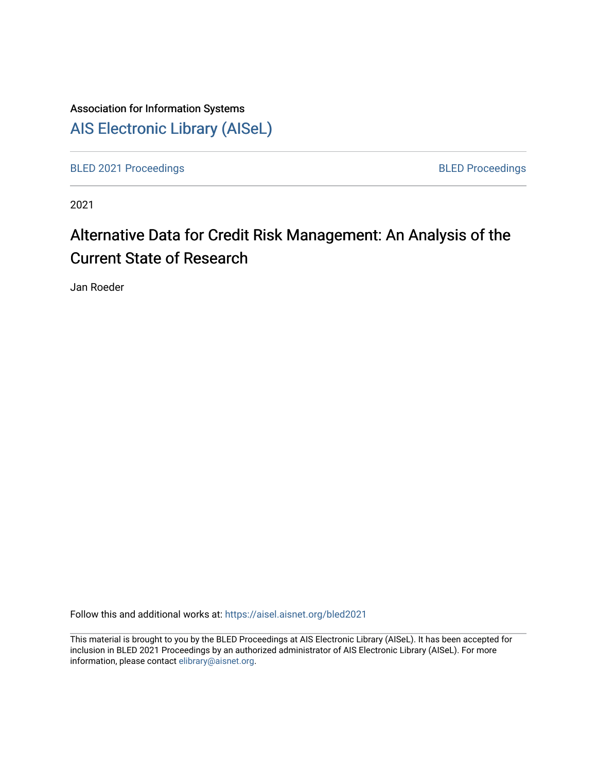# Association for Information Systems [AIS Electronic Library \(AISeL\)](https://aisel.aisnet.org/)

[BLED 2021 Proceedings](https://aisel.aisnet.org/bled2021) **BLED Proceedings** 

2021

# Alternative Data for Credit Risk Management: An Analysis of the Current State of Research

Jan Roeder

Follow this and additional works at: [https://aisel.aisnet.org/bled2021](https://aisel.aisnet.org/bled2021?utm_source=aisel.aisnet.org%2Fbled2021%2F6&utm_medium=PDF&utm_campaign=PDFCoverPages) 

This material is brought to you by the BLED Proceedings at AIS Electronic Library (AISeL). It has been accepted for inclusion in BLED 2021 Proceedings by an authorized administrator of AIS Electronic Library (AISeL). For more information, please contact [elibrary@aisnet.org.](mailto:elibrary@aisnet.org%3E)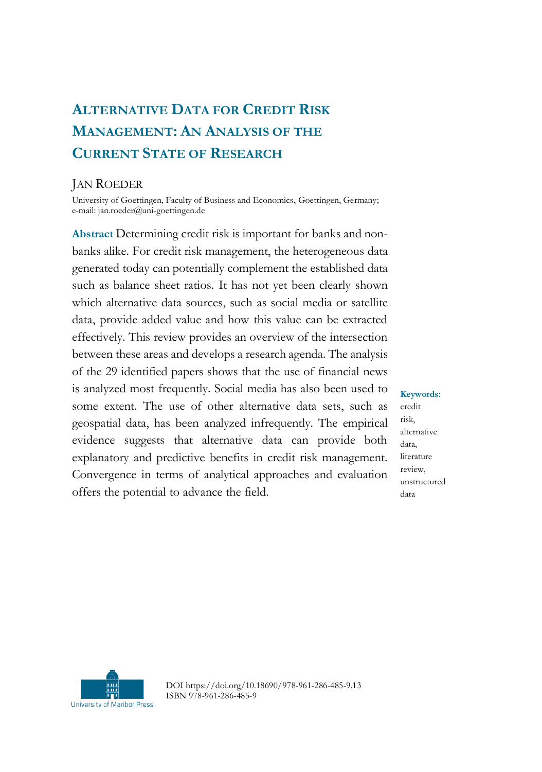# **ALTERNATIVE DATA FOR CREDIT RISK MANAGEMENT: AN ANALYSIS OF THE CURRENT STATE OF RESEARCH**

# JAN ROEDER

University of Goettingen, Faculty of Business and Economics, Goettingen, Germany; e-mail: jan.roeder@uni-goettingen.de

**Abstract** Determining credit risk is important for banks and nonbanks alike. For credit risk management, the heterogeneous data generated today can potentially complement the established data such as balance sheet ratios. It has not yet been clearly shown which alternative data sources, such as social media or satellite data, provide added value and how this value can be extracted effectively. This review provides an overview of the intersection between these areas and develops a research agenda. The analysis of the 29 identified papers shows that the use of financial news is analyzed most frequently. Social media has also been used to some extent. The use of other alternative data sets, such as geospatial data, has been analyzed infrequently. The empirical evidence suggests that alternative data can provide both explanatory and predictive benefits in credit risk management. Convergence in terms of analytical approaches and evaluation offers the potential to advance the field.

**Keywords:** credit risk, alternative data, literature review, unstructured data



DOI https://doi.org/10.18690/978-961-286-485-9.13 ISBN 978-961-286-485-9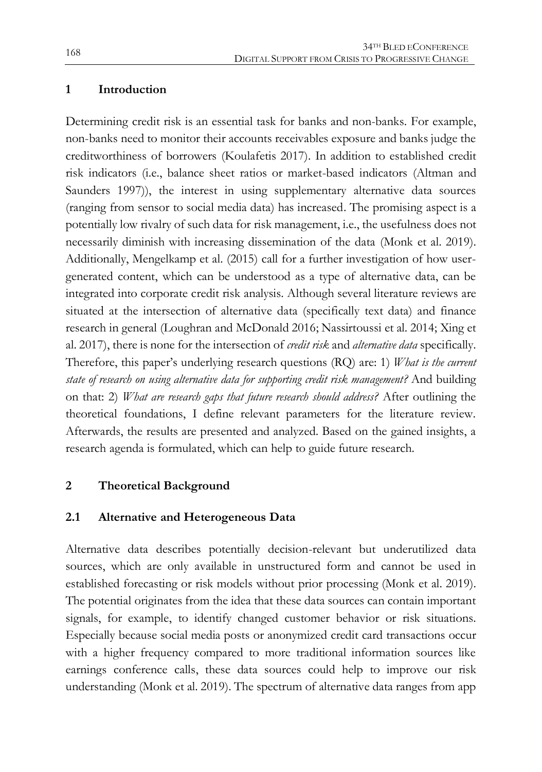# **1 Introduction**

Determining credit risk is an essential task for banks and non-banks. For example, non-banks need to monitor their accounts receivables exposure and banks judge the creditworthiness of borrowers (Koulafetis 2017). In addition to established credit risk indicators (i.e., balance sheet ratios or market-based indicators (Altman and Saunders 1997)), the interest in using supplementary alternative data sources (ranging from sensor to social media data) has increased. The promising aspect is a potentially low rivalry of such data for risk management, i.e., the usefulness does not necessarily diminish with increasing dissemination of the data (Monk et al. 2019). Additionally, Mengelkamp et al. (2015) call for a further investigation of how usergenerated content, which can be understood as a type of alternative data, can be integrated into corporate credit risk analysis. Although several literature reviews are situated at the intersection of alternative data (specifically text data) and finance research in general (Loughran and McDonald 2016; Nassirtoussi et al. 2014; Xing et al. 2017), there is none for the intersection of *credit risk* and *alternative data* specifically. Therefore, this paper's underlying research questions (RQ) are: 1) *What is the current state of research on using alternative data for supporting credit risk management?* And building on that: 2) *What are research gaps that future research should address?* After outlining the theoretical foundations, I define relevant parameters for the literature review. Afterwards, the results are presented and analyzed. Based on the gained insights, a research agenda is formulated, which can help to guide future research.

# **2 Theoretical Background**

# **2.1 Alternative and Heterogeneous Data**

Alternative data describes potentially decision-relevant but underutilized data sources, which are only available in unstructured form and cannot be used in established forecasting or risk models without prior processing (Monk et al. 2019). The potential originates from the idea that these data sources can contain important signals, for example, to identify changed customer behavior or risk situations. Especially because social media posts or anonymized credit card transactions occur with a higher frequency compared to more traditional information sources like earnings conference calls, these data sources could help to improve our risk understanding (Monk et al. 2019). The spectrum of alternative data ranges from app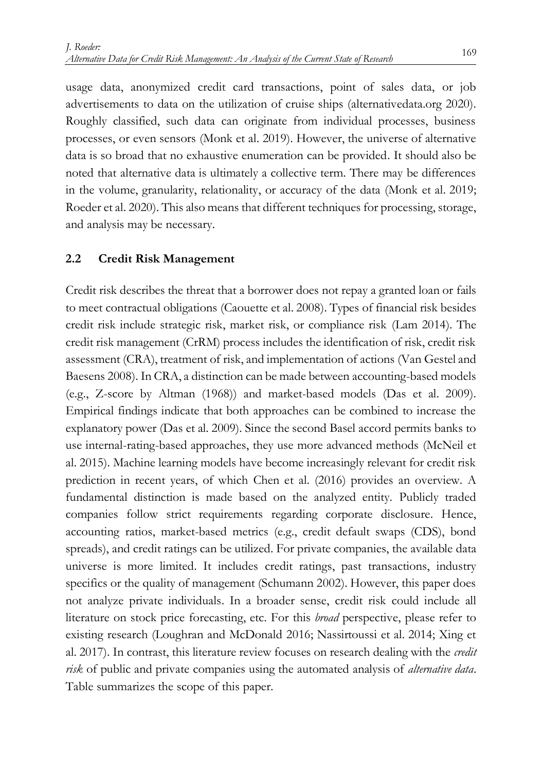usage data, anonymized credit card transactions, point of sales data, or job advertisements to data on the utilization of cruise ships (alternativedata.org 2020). Roughly classified, such data can originate from individual processes, business processes, or even sensors (Monk et al. 2019). However, the universe of alternative data is so broad that no exhaustive enumeration can be provided. It should also be noted that alternative data is ultimately a collective term. There may be differences in the volume, granularity, relationality, or accuracy of the data (Monk et al. 2019; Roeder et al. 2020). This also means that different techniques for processing, storage, and analysis may be necessary.

# **2.2 Credit Risk Management**

Credit risk describes the threat that a borrower does not repay a granted loan or fails to meet contractual obligations (Caouette et al. 2008). Types of financial risk besides credit risk include strategic risk, market risk, or compliance risk (Lam 2014). The credit risk management (CrRM) process includes the identification of risk, credit risk assessment (CRA), treatment of risk, and implementation of actions (Van Gestel and Baesens 2008). In CRA, a distinction can be made between accounting-based models (e.g., Z-score by Altman (1968)) and market-based models (Das et al. 2009). Empirical findings indicate that both approaches can be combined to increase the explanatory power (Das et al. 2009). Since the second Basel accord permits banks to use internal-rating-based approaches, they use more advanced methods (McNeil et al. 2015). Machine learning models have become increasingly relevant for credit risk prediction in recent years, of which Chen et al. (2016) provides an overview. A fundamental distinction is made based on the analyzed entity. Publicly traded companies follow strict requirements regarding corporate disclosure. Hence, accounting ratios, market-based metrics (e.g., credit default swaps (CDS), bond spreads), and credit ratings can be utilized. For private companies, the available data universe is more limited. It includes credit ratings, past transactions, industry specifics or the quality of management (Schumann 2002). However, this paper does not analyze private individuals. In a broader sense, credit risk could include all literature on stock price forecasting, etc. For this *broad* perspective, please refer to existing research (Loughran and McDonald 2016; Nassirtoussi et al. 2014; Xing et al. 2017). In contrast, this literature review focuses on research dealing with the *credit risk* of public and private companies using the automated analysis of *alternative data*. [Table](#page-4-0) summarizes the scope of this paper.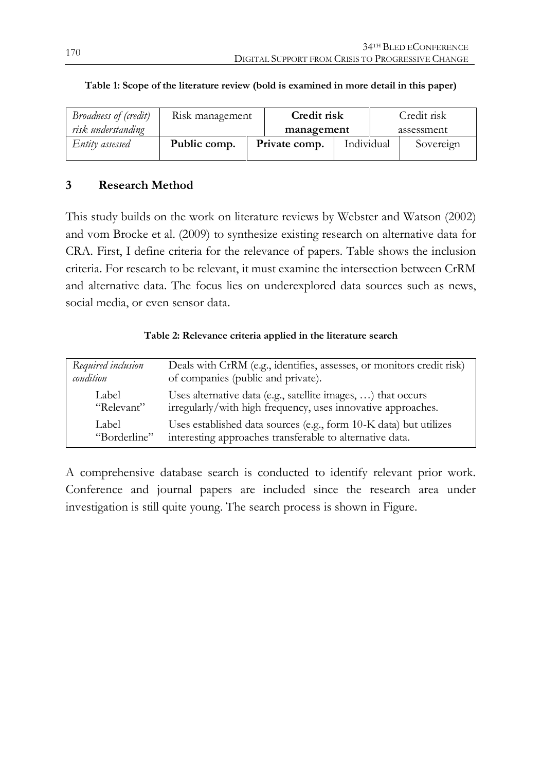| Broadness of (credit) | Risk management |  | Credit risk   |            | Credit risk |            |
|-----------------------|-----------------|--|---------------|------------|-------------|------------|
| risk understanding    |                 |  | management    |            |             | assessment |
| Entity assessed       | Public comp.    |  | Private comp. | Individual |             | Sovereign  |

# <span id="page-4-0"></span>**Table 1: Scope of the literature review (bold is examined in more detail in this paper)**

# **3 Research Method**

This study builds on the work on literature reviews by Webster and Watson (2002) and vom Brocke et al. (2009) to synthesize existing research on alternative data for CRA. First, I define criteria for the relevance of papers. [Table](#page-4-1) shows the inclusion criteria. For research to be relevant, it must examine the intersection between CrRM and alternative data. The focus lies on underexplored data sources such as news, social media, or even sensor data.

# **Table 2: Relevance criteria applied in the literature search**

<span id="page-4-1"></span>

| Required inclusion | Deals with CrRM (e.g., identifies, assesses, or monitors credit risk) |
|--------------------|-----------------------------------------------------------------------|
| condition          | of companies (public and private).                                    |
| Label              | Uses alternative data (e.g., satellite images, ) that occurs          |
| "Relevant"         | irregularly/with high frequency, uses innovative approaches.          |
| Label              | Uses established data sources (e.g., form 10-K data) but utilizes     |
| "Borderline"       | interesting approaches transferable to alternative data.              |

A comprehensive database search is conducted to identify relevant prior work. Conference and journal papers are included since the research area under investigation is still quite young. The search process is shown in [Figure.](#page-5-0)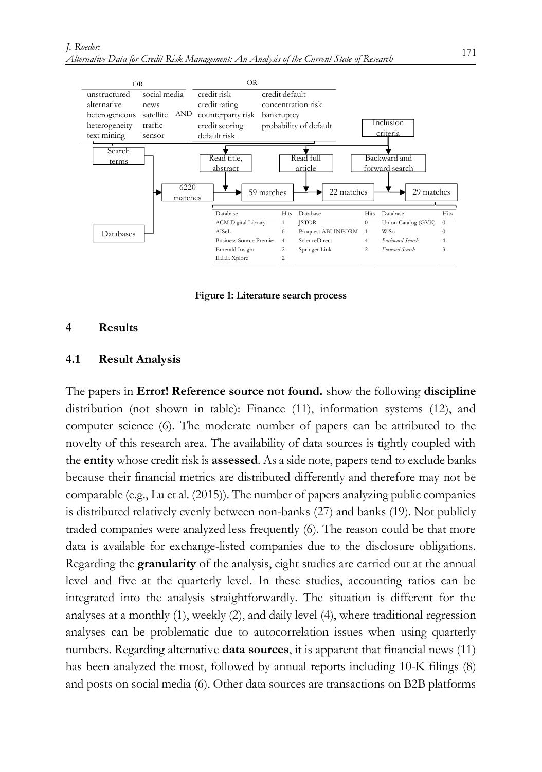

**Figure 1: Literature search process**

# <span id="page-5-0"></span>**4 Results**

## **4.1 Result Analysis**

The papers in **Error! Reference source not found.** show the following **discipline** distribution (not shown in table): Finance (11), information systems (12), and computer science (6). The moderate number of papers can be attributed to the novelty of this research area. The availability of data sources is tightly coupled with the **entity** whose credit risk is **assessed**. As a side note, papers tend to exclude banks because their financial metrics are distributed differently and therefore may not be comparable (e.g., Lu et al. (2015)). The number of papers analyzing public companies is distributed relatively evenly between non-banks (27) and banks (19). Not publicly traded companies were analyzed less frequently (6). The reason could be that more data is available for exchange-listed companies due to the disclosure obligations. Regarding the **granularity** of the analysis, eight studies are carried out at the annual level and five at the quarterly level. In these studies, accounting ratios can be integrated into the analysis straightforwardly. The situation is different for the analyses at a monthly (1), weekly (2), and daily level (4), where traditional regression analyses can be problematic due to autocorrelation issues when using quarterly numbers. Regarding alternative **data sources**, it is apparent that financial news (11) has been analyzed the most, followed by annual reports including 10-K filings (8) and posts on social media (6). Other data sources are transactions on B2B platforms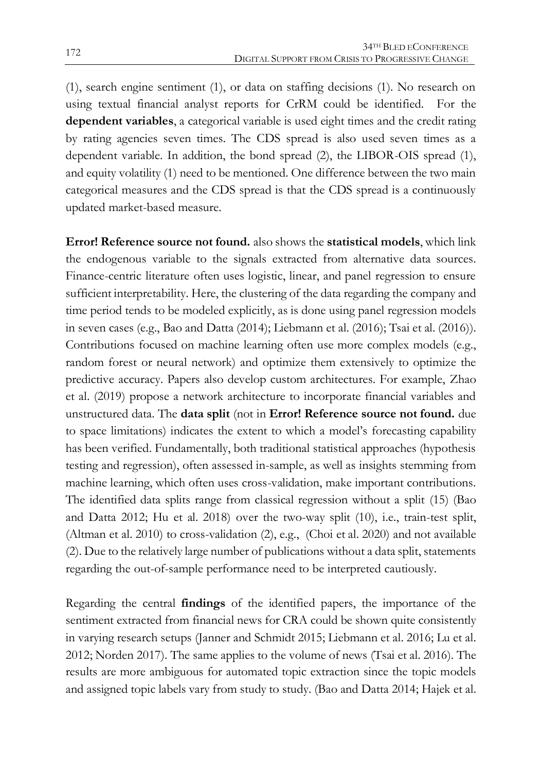(1), search engine sentiment (1), or data on staffing decisions (1). No research on using textual financial analyst reports for CrRM could be identified. For the **dependent variables**, a categorical variable is used eight times and the credit rating by rating agencies seven times. The CDS spread is also used seven times as a dependent variable. In addition, the bond spread (2), the LIBOR-OIS spread (1), and equity volatility (1) need to be mentioned. One difference between the two main categorical measures and the CDS spread is that the CDS spread is a continuously updated market-based measure.

**Error! Reference source not found.** also shows the **statistical models**, which link the endogenous variable to the signals extracted from alternative data sources. Finance-centric literature often uses logistic, linear, and panel regression to ensure sufficient interpretability. Here, the clustering of the data regarding the company and time period tends to be modeled explicitly, as is done using panel regression models in seven cases (e.g., Bao and Datta (2014); Liebmann et al. (2016); Tsai et al. (2016)). Contributions focused on machine learning often use more complex models (e.g., random forest or neural network) and optimize them extensively to optimize the predictive accuracy. Papers also develop custom architectures. For example, Zhao et al. (2019) propose a network architecture to incorporate financial variables and unstructured data. The **data split** (not in **Error! Reference source not found.** due to space limitations) indicates the extent to which a model's forecasting capability has been verified. Fundamentally, both traditional statistical approaches (hypothesis testing and regression), often assessed in-sample, as well as insights stemming from machine learning, which often uses cross-validation, make important contributions. The identified data splits range from classical regression without a split (15) (Bao and Datta 2012; Hu et al. 2018) over the two-way split (10), i.e., train-test split, (Altman et al. 2010) to cross-validation (2), e.g., (Choi et al. 2020) and not available (2). Due to the relatively large number of publications without a data split, statements regarding the out-of-sample performance need to be interpreted cautiously.

Regarding the central **findings** of the identified papers, the importance of the sentiment extracted from financial news for CRA could be shown quite consistently in varying research setups (Janner and Schmidt 2015; Liebmann et al. 2016; Lu et al. 2012; Norden 2017). The same applies to the volume of news (Tsai et al. 2016). The results are more ambiguous for automated topic extraction since the topic models and assigned topic labels vary from study to study. (Bao and Datta 2014; Hajek et al.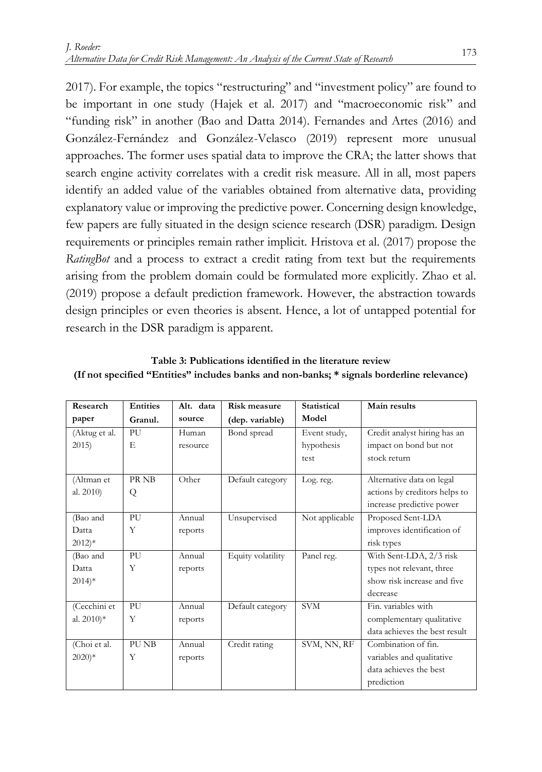2017). For example, the topics "restructuring" and "investment policy" are found to be important in one study (Hajek et al. 2017) and "macroeconomic risk" and "funding risk" in another (Bao and Datta 2014). Fernandes and Artes (2016) and González-Fernández and González-Velasco (2019) represent more unusual approaches. The former uses spatial data to improve the CRA; the latter shows that search engine activity correlates with a credit risk measure. All in all, most papers identify an added value of the variables obtained from alternative data, providing explanatory value or improving the predictive power. Concerning design knowledge, few papers are fully situated in the design science research (DSR) paradigm. Design requirements or principles remain rather implicit. Hristova et al. (2017) propose the *RatingBot* and a process to extract a credit rating from text but the requirements arising from the problem domain could be formulated more explicitly. Zhao et al. (2019) propose a default prediction framework. However, the abstraction towards design principles or even theories is absent. Hence, a lot of untapped potential for research in the DSR paradigm is apparent.

| Research                | <b>Entities</b> | Alt. data | <b>Risk measure</b> | <b>Statistical</b> | Main results                  |
|-------------------------|-----------------|-----------|---------------------|--------------------|-------------------------------|
| paper                   | Granul.         | source    | (dep. variable)     | Model              |                               |
| (Aktug et al.           | PU              | Human     | Bond spread         | Event study,       | Credit analyst hiring has an  |
| 2015                    | E               | resource  |                     | hypothesis         | impact on bond but not        |
|                         |                 |           |                     | test               | stock return                  |
| (Altman et              | PR NB           | Other     | Default category    | Log. reg.          | Alternative data on legal     |
| al. 2010)               | Q               |           |                     |                    | actions by creditors helps to |
|                         |                 |           |                     |                    | increase predictive power     |
|                         |                 |           |                     |                    |                               |
| (Bao and                | PU              | Annual    | Unsupervised        | Not applicable     | Proposed Sent-LDA             |
| Datta                   | Y               | reports   |                     |                    | improves identification of    |
| $2012$ <sup>*</sup>     |                 |           |                     |                    | risk types                    |
| (Bao and                | PU              | Annual    | Equity volatility   | Panel reg.         | With Sent-LDA, 2/3 risk       |
| Datta                   | Y               | reports   |                     |                    | types not relevant, three     |
| $2014$ <sup>*</sup>     |                 |           |                     |                    | show risk increase and five   |
|                         |                 |           |                     |                    | decrease                      |
| (Cecchini et            | PU              | Annual    | Default category    | <b>SVM</b>         | Fin. variables with           |
| al. $2010$ <sup>*</sup> | Y               | reports   |                     |                    | complementary qualitative     |
|                         |                 |           |                     |                    | data achieves the best result |
| (Choi et al.            | PU NB           | Annual    | Credit rating       | SVM, NN, RF        | Combination of fin.           |
| $2020)*$                | Y               | reports   |                     |                    | variables and qualitative     |
|                         |                 |           |                     |                    | data achieves the best        |
|                         |                 |           |                     |                    | prediction                    |

**Table 3: Publications identified in the literature review (If not specified "Entities" includes banks and non-banks; \* signals borderline relevance)**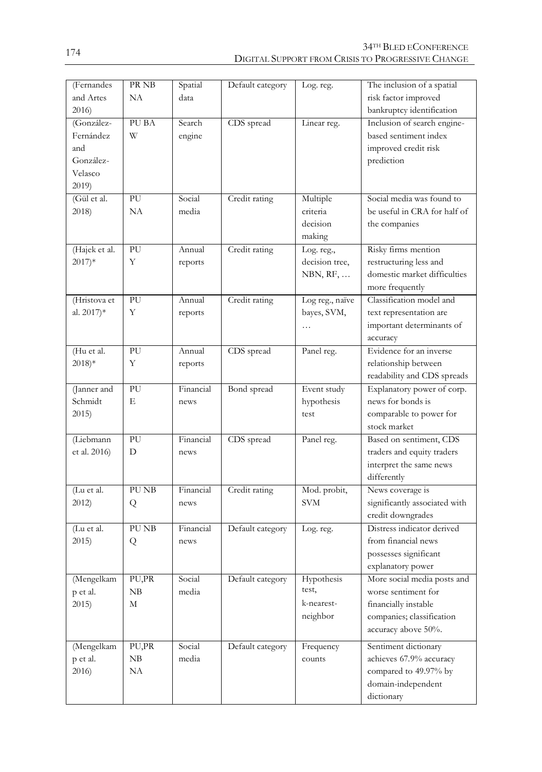| (Fernandes          | PR NB | Spatial   | Default category | Log. reg.       | The inclusion of a spatial    |
|---------------------|-------|-----------|------------------|-----------------|-------------------------------|
| and Artes           | NA    | data      |                  |                 | risk factor improved          |
| 2016)               |       |           |                  |                 | bankruptcy identification     |
| (González-          | PU BA | Search    | CDS spread       | Linear reg.     | Inclusion of search engine-   |
| Fernández           | W     | engine    |                  |                 | based sentiment index         |
| and                 |       |           |                  |                 | improved credit risk          |
| González-           |       |           |                  |                 | prediction                    |
| Velasco             |       |           |                  |                 |                               |
| 2019                |       |           |                  |                 |                               |
| (Gül et al.         | PU    | Social    | Credit rating    | Multiple        | Social media was found to     |
| 2018)               | NA    | media     |                  | criteria        | be useful in CRA for half of  |
|                     |       |           |                  | decision        | the companies                 |
|                     |       |           |                  | making          |                               |
| (Hajek et al.       | PU    | Annual    | Credit rating    | Log. reg.,      | Risky firms mention           |
| $2017$ <sup>*</sup> | Y     | reports   |                  | decision tree,  | restructuring less and        |
|                     |       |           |                  | NBN, RF,        | domestic market difficulties  |
|                     |       |           |                  |                 | more frequently               |
| (Hristova et        | PU    | Annual    | Credit rating    | Log reg., naïve | Classification model and      |
| al. 2017)*          | Y     | reports   |                  | bayes, SVM,     | text representation are       |
|                     |       |           |                  | $\cdots$        | important determinants of     |
|                     |       |           |                  |                 | accuracy                      |
| (Hu et al.          | PU    | Annual    | CDS spread       | Panel reg.      | Evidence for an inverse       |
| $2018$ <sup>*</sup> | Y     | reports   |                  |                 | relationship between          |
|                     |       |           |                  |                 | readability and CDS spreads   |
| (Janner and         | PU    | Financial | Bond spread      | Event study     | Explanatory power of corp.    |
| Schmidt             | E     | news      |                  | hypothesis      | news for bonds is             |
| 2015)               |       |           |                  | test            | comparable to power for       |
|                     |       |           |                  |                 | stock market                  |
| (Liebmann           | PU    | Financial | CDS spread       | Panel reg.      | Based on sentiment, CDS       |
| et al. 2016)        | D     | news      |                  |                 | traders and equity traders    |
|                     |       |           |                  |                 | interpret the same news       |
|                     |       |           |                  |                 | differently                   |
| (Lu et al.          | PU NB | Financial | Credit rating    | Mod. probit,    | News coverage is              |
| 2012                | Q     | news      |                  | <b>SVM</b>      | significantly associated with |
|                     |       |           |                  |                 | credit downgrades             |
| (Lu et al.          | PU NB | Financial | Default category | Log. reg.       | Distress indicator derived    |
| 2015                | Q     | news      |                  |                 | from financial news           |
|                     |       |           |                  |                 | possesses significant         |
|                     |       |           |                  |                 | explanatory power             |
| (Mengelkam          | PU,PR | Social    | Default category | Hypothesis      | More social media posts and   |
| p et al.            | NB    | media     |                  | test,           | worse sentiment for           |
| 2015)               | М     |           |                  | k-nearest-      | financially instable          |
|                     |       |           |                  | neighbor        | companies; classification     |
|                     |       |           |                  |                 | accuracy above 50%.           |
| (Mengelkam          | PU,PR | Social    | Default category | Frequency       | Sentiment dictionary          |
| p et al.            | NB    | media     |                  | counts          | achieves 67.9% accuracy       |
| 2016                | NA    |           |                  |                 | compared to 49.97% by         |
|                     |       |           |                  |                 | domain-independent            |
|                     |       |           |                  |                 | dictionary                    |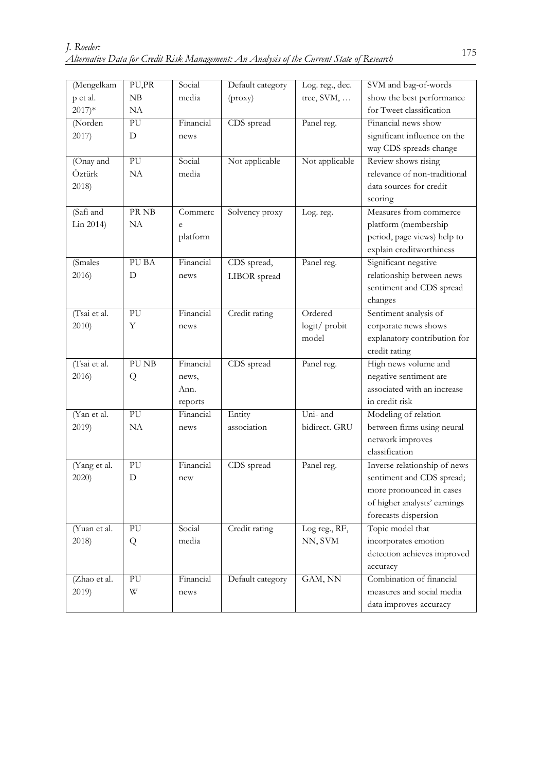| (Mengelkam          | PU,PR | Social    | Default category | Log. reg., dec. | SVM and bag-of-words         |
|---------------------|-------|-----------|------------------|-----------------|------------------------------|
| p et al.            | NB    | media     | (prows)          | tree, $SVM$ ,   | show the best performance    |
| $2017$ <sup>*</sup> | NA    |           |                  |                 | for Tweet classification     |
| (Norden             | PU    | Financial | CDS spread       | Panel reg.      | Financial news show          |
| 2017)               | D     | news      |                  |                 | significant influence on the |
|                     |       |           |                  |                 | way CDS spreads change       |
| (Onay and           | PU    | Social    | Not applicable   | Not applicable  | Review shows rising          |
| Öztürk              | NA    | media     |                  |                 | relevance of non-traditional |
| 2018)               |       |           |                  |                 | data sources for credit      |
|                     |       |           |                  |                 | scoring                      |
| (Safi and           | PR NB | Commerc   | Solvency proxy   | Log. reg.       | Measures from commerce       |
| Lin 2014)           | NA    | e         |                  |                 | platform (membership         |
|                     |       | platform  |                  |                 | period, page views) help to  |
|                     |       |           |                  |                 | explain creditworthiness     |
| (Smales)            | PU BA | Financial | CDS spread,      | Panel reg.      | Significant negative         |
| 2016)               | D     | news      | LIBOR spread     |                 | relationship between news    |
|                     |       |           |                  |                 | sentiment and CDS spread     |
|                     |       |           |                  |                 | changes                      |
| (Tsai et al.        | PU    | Financial | Credit rating    | Ordered         | Sentiment analysis of        |
| 2010)               | Υ     | news      |                  | logit/probit    | corporate news shows         |
|                     |       |           |                  | model           | explanatory contribution for |
|                     |       |           |                  |                 | credit rating                |
| (Tsai et al.        | PU NB | Financial | CDS spread       | Panel reg.      | High news volume and         |
| 2016)               | Q     | news,     |                  |                 | negative sentiment are       |
|                     |       | Ann.      |                  |                 | associated with an increase  |
|                     |       | reports   |                  |                 | in credit risk               |
| (Yan et al.         | PU    | Financial | Entity           | Uni- and        | Modeling of relation         |
| 2019)               | NA    | news      | association      | bidirect. GRU   | between firms using neural   |
|                     |       |           |                  |                 | network improves             |
|                     |       |           |                  |                 | classification               |
| (Yang et al.        | PU    | Financial | CDS spread       | Panel reg.      | Inverse relationship of news |
| 2020)               | D     | new       |                  |                 | sentiment and CDS spread;    |
|                     |       |           |                  |                 | more pronounced in cases     |
|                     |       |           |                  |                 | of higher analysts' earnings |
|                     |       |           |                  |                 | forecasts dispersion         |
| (Yuan et al.        | PU    | Social    | Credit rating    | Log reg., RF,   | Topic model that             |
| 2018)               | Q     | media     |                  | NN, SVM         | incorporates emotion         |
|                     |       |           |                  |                 | detection achieves improved  |
|                     |       |           |                  |                 | accuracy                     |
| (Zhao et al.        | PU    | Financial | Default category | GAM, NN         | Combination of financial     |
| 2019)               | W     | news      |                  |                 | measures and social media    |
|                     |       |           |                  |                 | data improves accuracy       |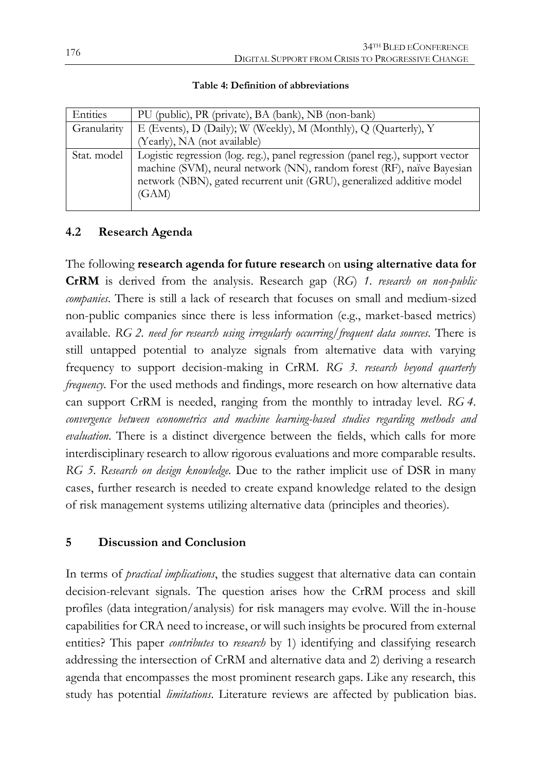| Entities    | PU (public), PR (private), BA (bank), NB (non-bank)                                                                                                      |
|-------------|----------------------------------------------------------------------------------------------------------------------------------------------------------|
| Granularity | E (Events), D (Daily); W (Weekly), M (Monthly), Q (Quarterly), Y                                                                                         |
|             | (Yearly), NA (not available)                                                                                                                             |
| Stat. model | Logistic regression (log. reg.), panel regression (panel reg.), support vector<br>machine (SVM), neural network (NN), random forest (RF), naïve Bayesian |
|             | network (NBN), gated recurrent unit (GRU), generalized additive model<br>(GAM)                                                                           |

## **Table 4: Definition of abbreviations**

# **4.2 Research Agenda**

The following **research agenda for future research** on **using alternative data for CrRM** is derived from the analysis. Research gap (*RG*) *1. research on non-public companies*. There is still a lack of research that focuses on small and medium-sized non-public companies since there is less information (e.g., market-based metrics) available. *RG 2. need for research using irregularly occurring/frequent data sources*. There is still untapped potential to analyze signals from alternative data with varying frequency to support decision-making in CrRM. *RG 3. research beyond quarterly frequency.* For the used methods and findings, more research on how alternative data can support CrRM is needed, ranging from the monthly to intraday level. *RG 4. convergence between econometrics and machine learning-based studies regarding methods and evaluation.* There is a distinct divergence between the fields, which calls for more interdisciplinary research to allow rigorous evaluations and more comparable results. *RG 5. Research on design knowledge.* Due to the rather implicit use of DSR in many cases, further research is needed to create expand knowledge related to the design of risk management systems utilizing alternative data (principles and theories).

# **5 Discussion and Conclusion**

In terms of *practical implications*, the studies suggest that alternative data can contain decision-relevant signals. The question arises how the CrRM process and skill profiles (data integration/analysis) for risk managers may evolve. Will the in-house capabilities for CRA need to increase, or will such insights be procured from external entities? This paper *contributes* to *research* by 1) identifying and classifying research addressing the intersection of CrRM and alternative data and 2) deriving a research agenda that encompasses the most prominent research gaps. Like any research, this study has potential *limitations*. Literature reviews are affected by publication bias.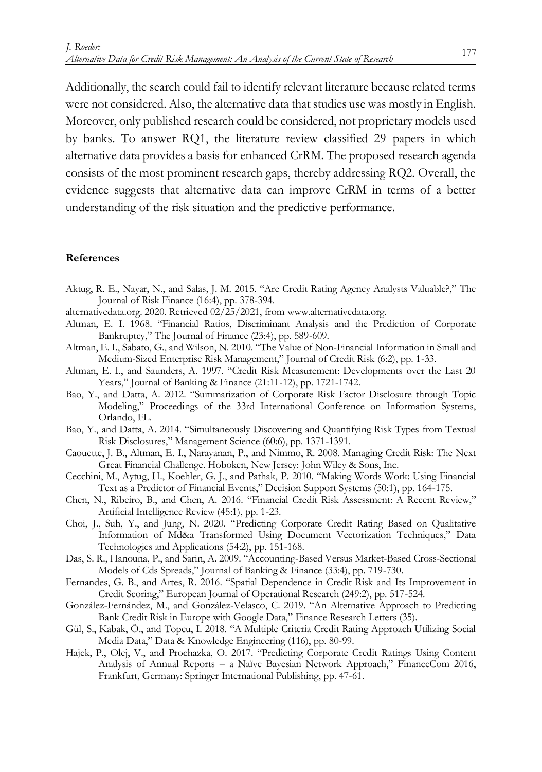Additionally, the search could fail to identify relevant literature because related terms were not considered. Also, the alternative data that studies use was mostly in English. Moreover, only published research could be considered, not proprietary models used by banks. To answer RQ1, the literature review classified 29 papers in which alternative data provides a basis for enhanced CrRM. The proposed research agenda consists of the most prominent research gaps, thereby addressing RQ2. Overall, the evidence suggests that alternative data can improve CrRM in terms of a better understanding of the risk situation and the predictive performance.

#### **References**

- Aktug, R. E., Nayar, N., and Salas, J. M. 2015. "Are Credit Rating Agency Analysts Valuable?," The Journal of Risk Finance (16:4), pp. 378-394.
- alternativedata.org. 2020. Retrieved 02/25/2021, from www.alternativedata.org.
- Altman, E. I. 1968. "Financial Ratios, Discriminant Analysis and the Prediction of Corporate Bankruptcy," The Journal of Finance (23:4), pp. 589-609.
- Altman, E. I., Sabato, G., and Wilson, N. 2010. "The Value of Non-Financial Information in Small and Medium-Sized Enterprise Risk Management," Journal of Credit Risk (6:2), pp. 1-33.
- Altman, E. I., and Saunders, A. 1997. "Credit Risk Measurement: Developments over the Last 20 Years," Journal of Banking & Finance (21:11-12), pp. 1721-1742.
- Bao, Y., and Datta, A. 2012. "Summarization of Corporate Risk Factor Disclosure through Topic Modeling," Proceedings of the 33rd International Conference on Information Systems, Orlando, FL.
- Bao, Y., and Datta, A. 2014. "Simultaneously Discovering and Quantifying Risk Types from Textual Risk Disclosures," Management Science (60:6), pp. 1371-1391.
- Caouette, J. B., Altman, E. I., Narayanan, P., and Nimmo, R. 2008. Managing Credit Risk: The Next Great Financial Challenge. Hoboken, New Jersey: John Wiley & Sons, Inc.
- Cecchini, M., Aytug, H., Koehler, G. J., and Pathak, P. 2010. "Making Words Work: Using Financial Text as a Predictor of Financial Events," Decision Support Systems (50:1), pp. 164-175.
- Chen, N., Ribeiro, B., and Chen, A. 2016. "Financial Credit Risk Assessment: A Recent Review," Artificial Intelligence Review (45:1), pp. 1-23.
- Choi, J., Suh, Y., and Jung, N. 2020. "Predicting Corporate Credit Rating Based on Qualitative Information of Md&a Transformed Using Document Vectorization Techniques," Data Technologies and Applications (54:2), pp. 151-168.
- Das, S. R., Hanouna, P., and Sarin, A. 2009. "Accounting-Based Versus Market-Based Cross-Sectional Models of Cds Spreads," Journal of Banking & Finance (33:4), pp. 719-730.
- Fernandes, G. B., and Artes, R. 2016. "Spatial Dependence in Credit Risk and Its Improvement in Credit Scoring," European Journal of Operational Research (249:2), pp. 517-524.
- González-Fernández, M., and González-Velasco, C. 2019. "An Alternative Approach to Predicting Bank Credit Risk in Europe with Google Data," Finance Research Letters (35).
- Gül, S., Kabak, Ö., and Topcu, I. 2018. "A Multiple Criteria Credit Rating Approach Utilizing Social Media Data," Data & Knowledge Engineering (116), pp. 80-99.
- Hajek, P., Olej, V., and Prochazka, O. 2017. "Predicting Corporate Credit Ratings Using Content Analysis of Annual Reports – a Naïve Bayesian Network Approach," FinanceCom 2016, Frankfurt, Germany: Springer International Publishing, pp. 47-61.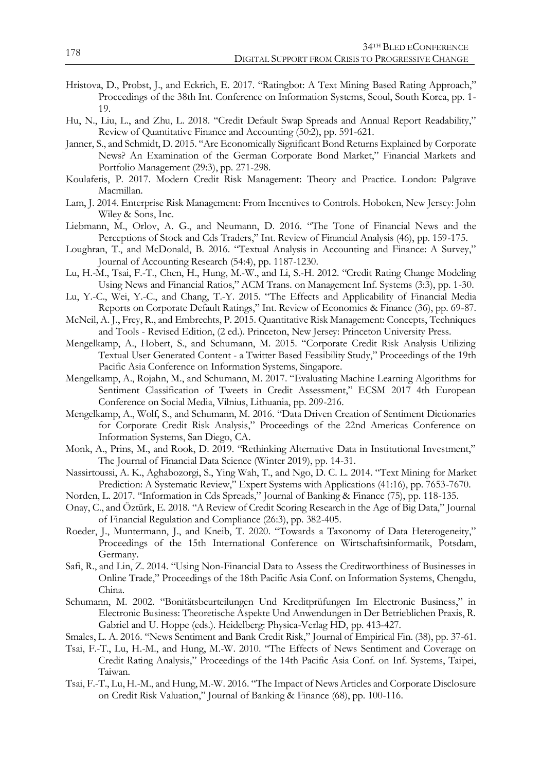- Hristova, D., Probst, J., and Eckrich, E. 2017. "Ratingbot: A Text Mining Based Rating Approach," Proceedings of the 38th Int. Conference on Information Systems, Seoul, South Korea, pp. 1- 19.
- Hu, N., Liu, L., and Zhu, L. 2018. "Credit Default Swap Spreads and Annual Report Readability," Review of Quantitative Finance and Accounting (50:2), pp. 591-621.
- Janner, S., and Schmidt, D. 2015. "Are Economically Significant Bond Returns Explained by Corporate News? An Examination of the German Corporate Bond Market," Financial Markets and Portfolio Management (29:3), pp. 271-298.
- Koulafetis, P. 2017. Modern Credit Risk Management: Theory and Practice. London: Palgrave Macmillan.
- Lam, J. 2014. Enterprise Risk Management: From Incentives to Controls. Hoboken, New Jersey: John Wiley & Sons, Inc.
- Liebmann, M., Orlov, A. G., and Neumann, D. 2016. "The Tone of Financial News and the Perceptions of Stock and Cds Traders," Int. Review of Financial Analysis (46), pp. 159-175.
- Loughran, T., and McDonald, B. 2016. "Textual Analysis in Accounting and Finance: A Survey," Journal of Accounting Research (54:4), pp. 1187-1230.
- Lu, H.-M., Tsai, F.-T., Chen, H., Hung, M.-W., and Li, S.-H. 2012. "Credit Rating Change Modeling Using News and Financial Ratios," ACM Trans. on Management Inf. Systems (3:3), pp. 1-30.
- Lu, Y.-C., Wei, Y.-C., and Chang, T.-Y. 2015. "The Effects and Applicability of Financial Media Reports on Corporate Default Ratings," Int. Review of Economics & Finance (36), pp. 69-87.
- McNeil, A. J., Frey, R., and Embrechts, P. 2015. Quantitative Risk Management: Concepts, Techniques and Tools - Revised Edition, (2 ed.). Princeton, New Jersey: Princeton University Press.
- Mengelkamp, A., Hobert, S., and Schumann, M. 2015. "Corporate Credit Risk Analysis Utilizing Textual User Generated Content - a Twitter Based Feasibility Study," Proceedings of the 19th Pacific Asia Conference on Information Systems, Singapore.
- Mengelkamp, A., Rojahn, M., and Schumann, M. 2017. "Evaluating Machine Learning Algorithms for Sentiment Classification of Tweets in Credit Assessment," ECSM 2017 4th European Conference on Social Media, Vilnius, Lithuania, pp. 209-216.
- Mengelkamp, A., Wolf, S., and Schumann, M. 2016. "Data Driven Creation of Sentiment Dictionaries for Corporate Credit Risk Analysis," Proceedings of the 22nd Americas Conference on Information Systems, San Diego, CA.
- Monk, A., Prins, M., and Rook, D. 2019. "Rethinking Alternative Data in Institutional Investment," The Journal of Financial Data Science (Winter 2019), pp. 14-31.
- Nassirtoussi, A. K., Aghabozorgi, S., Ying Wah, T., and Ngo, D. C. L. 2014. "Text Mining for Market Prediction: A Systematic Review," Expert Systems with Applications (41:16), pp. 7653-7670.
- Norden, L. 2017. "Information in Cds Spreads," Journal of Banking & Finance (75), pp. 118-135.
- Onay, C., and Öztürk, E. 2018. "A Review of Credit Scoring Research in the Age of Big Data," Journal of Financial Regulation and Compliance (26:3), pp. 382-405.
- Roeder, J., Muntermann, J., and Kneib, T. 2020. "Towards a Taxonomy of Data Heterogeneity," Proceedings of the 15th International Conference on Wirtschaftsinformatik, Potsdam, Germany.
- Safi, R., and Lin, Z. 2014. "Using Non-Financial Data to Assess the Creditworthiness of Businesses in Online Trade," Proceedings of the 18th Pacific Asia Conf. on Information Systems, Chengdu, China.
- Schumann, M. 2002. "Bonitätsbeurteilungen Und Kreditprüfungen Im Electronic Business," in Electronic Business: Theoretische Aspekte Und Anwendungen in Der Betrieblichen Praxis, R. Gabriel and U. Hoppe (eds.). Heidelberg: Physica-Verlag HD, pp. 413-427.
- Smales, L. A. 2016. "News Sentiment and Bank Credit Risk," Journal of Empirical Fin. (38), pp. 37-61.
- Tsai, F.-T., Lu, H.-M., and Hung, M.-W. 2010. "The Effects of News Sentiment and Coverage on Credit Rating Analysis," Proceedings of the 14th Pacific Asia Conf. on Inf. Systems, Taipei, Taiwan.
- Tsai, F.-T., Lu, H.-M., and Hung, M.-W. 2016. "The Impact of News Articles and Corporate Disclosure on Credit Risk Valuation," Journal of Banking & Finance (68), pp. 100-116.